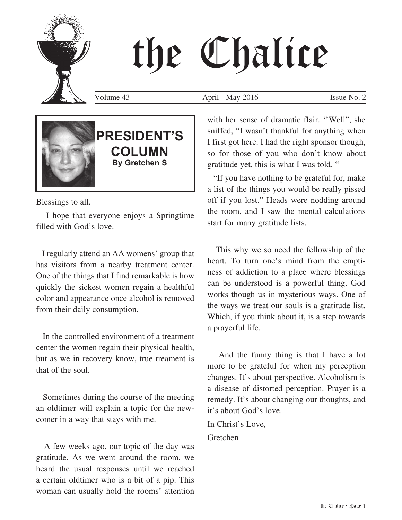# the Chalice

Volume 43 April - May 2016 Issue No. 2



### **PRESIDENT'S COLUMN By Gretchen S**

Blessings to all.

 I hope that everyone enjoys a Springtime filled with God's love.

 I regularly attend an AA womens' group that has visitors from a nearby treatment center. One of the things that I find remarkable is how quickly the sickest women regain a healthful color and appearance once alcohol is removed from their daily consumption.

 In the controlled environment of a treatment center the women regain their physical health, but as we in recovery know, true treament is that of the soul.

 Sometimes during the course of the meeting an oldtimer will explain a topic for the newcomer in a way that stays with me.

 A few weeks ago, our topic of the day was gratitude. As we went around the room, we heard the usual responses until we reached a certain oldtimer who is a bit of a pip. This woman can usually hold the rooms' attention with her sense of dramatic flair. ''Well", she sniffed, "I wasn't thankful for anything when I first got here. I had the right sponsor though, so for those of you who don't know about gratitude yet, this is what I was told. "

 "If you have nothing to be grateful for, make a list of the things you would be really pissed off if you lost." Heads were nodding around the room, and I saw the mental calculations start for many gratitude lists.

 This why we so need the fellowship of the heart. To turn one's mind from the emptiness of addiction to a place where blessings can be understood is a powerful thing. God works though us in mysterious ways. One of the ways we treat our souls is a gratitude list. Which, if you think about it, is a step towards a prayerful life.

 And the funny thing is that I have a lot more to be grateful for when my perception changes. It's about perspective. Alcoholism is a disease of distorted perception. Prayer is a remedy. It's about changing our thoughts, and it's about God's love.

In Christ's Love,

Gretchen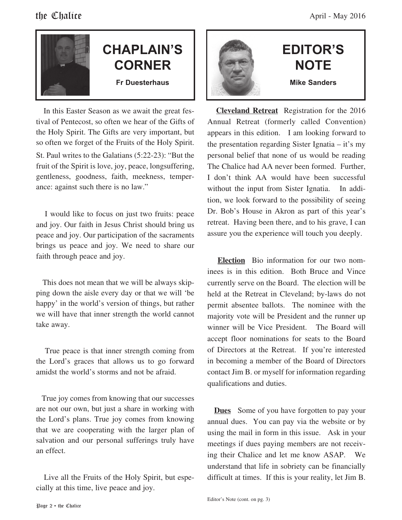

### **CHAPLAIN'S CORNER Fr Duesterhaus**

 In this Easter Season as we await the great festival of Pentecost, so often we hear of the Gifts of the Holy Spirit. The Gifts are very important, but so often we forget of the Fruits of the Holy Spirit. St. Paul writes to the Galatians (5:22-23): "But the fruit of the Spirit is love, joy, peace, longsuffering, gentleness, goodness, faith, meekness, temperance: against such there is no law."

 I would like to focus on just two fruits: peace and joy. Our faith in Jesus Christ should bring us peace and joy. Our participation of the sacraments brings us peace and joy. We need to share our faith through peace and joy.

 This does not mean that we will be always skipping down the aisle every day or that we will 'be happy' in the world's version of things, but rather we will have that inner strength the world cannot take away.

 True peace is that inner strength coming from the Lord's graces that allows us to go forward amidst the world's storms and not be afraid.

 True joy comes from knowing that our successes are not our own, but just a share in working with the Lord's plans. True joy comes from knowing that we are cooperating with the larger plan of salvation and our personal sufferings truly have an effect.

 Live all the Fruits of the Holy Spirit, but especially at this time, live peace and joy.



### **EDITOR'S NOTE Mike Sanders**

 **Cleveland Retreat** Registration for the 2016 Annual Retreat (formerly called Convention) appears in this edition. I am looking forward to the presentation regarding Sister Ignatia – it's my personal belief that none of us would be reading The Chalice had AA never been formed. Further, I don't think AA would have been successful without the input from Sister Ignatia. In addition, we look forward to the possibility of seeing Dr. Bob's House in Akron as part of this year's retreat. Having been there, and to his grave, I can assure you the experience will touch you deeply.

 **Election** Bio information for our two nominees is in this edition. Both Bruce and Vince currently serve on the Board. The election will be held at the Retreat in Cleveland; by-laws do not permit absentee ballots. The nominee with the majority vote will be President and the runner up winner will be Vice President. The Board will accept floor nominations for seats to the Board of Directors at the Retreat. If you're interested in becoming a member of the Board of Directors contact Jim B. or myself for information regarding qualifications and duties.

**Dues** Some of you have forgotten to pay your annual dues. You can pay via the website or by using the mail in form in this issue. Ask in your meetings if dues paying members are not receiving their Chalice and let me know ASAP. We understand that life in sobriety can be financially difficult at times. If this is your reality, let Jim B.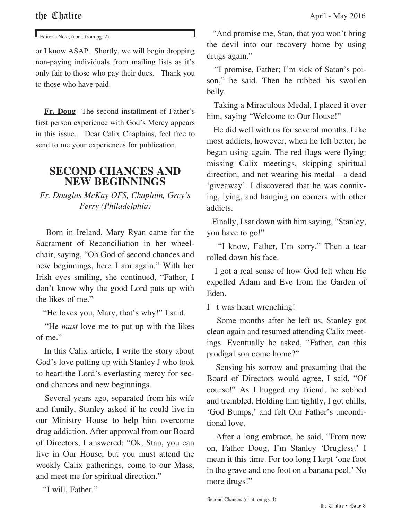Editor's Note, (cont. from pg. 2)

or I know ASAP. Shortly, we will begin dropping non-paying individuals from mailing lists as it's only fair to those who pay their dues. Thank you to those who have paid.

 **Fr. Doug** The second installment of Father's first person experience with God's Mercy appears in this issue. Dear Calix Chaplains, feel free to send to me your experiences for publication.

### **SECOND CHANCES AND NEW BEGINNINGS**

*Fr. Douglas McKay OFS, Chaplain, Grey's Ferry (Philadelphia)*

 Born in Ireland, Mary Ryan came for the Sacrament of Reconciliation in her wheelchair, saying, "Oh God of second chances and new beginnings, here I am again." With her Irish eyes smiling, she continued, "Father, I don't know why the good Lord puts up with the likes of me."

"He loves you, Mary, that's why!" I said.

 "He *must* love me to put up with the likes of me."

 In this Calix article, I write the story about God's love putting up with Stanley J who took to heart the Lord's everlasting mercy for second chances and new beginnings.

 Several years ago, separated from his wife and family, Stanley asked if he could live in our Ministry House to help him overcome drug addiction. After approval from our Board of Directors, I answered: "Ok, Stan, you can live in Our House, but you must attend the weekly Calix gatherings, come to our Mass, and meet me for spiritual direction."

"I will, Father."

 "And promise me, Stan, that you won't bring the devil into our recovery home by using drugs again."

 "I promise, Father; I'm sick of Satan's poison," he said. Then he rubbed his swollen belly.

 Taking a Miraculous Medal, I placed it over him, saying "Welcome to Our House!"

 He did well with us for several months. Like most addicts, however, when he felt better, he began using again. The red flags were flying: missing Calix meetings, skipping spiritual direction, and not wearing his medal—a dead 'giveaway'. I discovered that he was conniving, lying, and hanging on corners with other addicts.

 Finally, I sat down with him saying, "Stanley, you have to go!"

 "I know, Father, I'm sorry." Then a tear rolled down his face.

 I got a real sense of how God felt when He expelled Adam and Eve from the Garden of Eden.

I t was heart wrenching!

 Some months after he left us, Stanley got clean again and resumed attending Calix meetings. Eventually he asked, "Father, can this prodigal son come home?"

 Sensing his sorrow and presuming that the Board of Directors would agree, I said, "Of course!" As I hugged my friend, he sobbed and trembled. Holding him tightly, I got chills, 'God Bumps,' and felt Our Father's unconditional love.

 After a long embrace, he said, "From now on, Father Doug, I'm Stanley 'Drugless.' I mean it this time. For too long I kept 'one foot in the grave and one foot on a banana peel.' No more drugs!"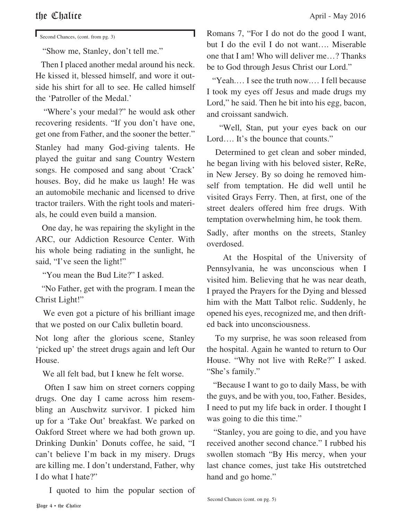### the  $\mathbb{C}$ halice April - May 2016

Second Chances, (cont. from pg. 3)

"Show me, Stanley, don't tell me."

 Then I placed another medal around his neck. He kissed it, blessed himself, and wore it outside his shirt for all to see. He called himself the 'Patroller of the Medal.'

 "Where's your medal?" he would ask other recovering residents. "If you don't have one, get one from Father, and the sooner the better."

Stanley had many God-giving talents. He played the guitar and sang Country Western songs. He composed and sang about 'Crack' houses. Boy, did he make us laugh! He was an automobile mechanic and licensed to drive tractor trailers. With the right tools and materials, he could even build a mansion.

 One day, he was repairing the skylight in the ARC, our Addiction Resource Center. With his whole being radiating in the sunlight, he said, "I've seen the light!"

"You mean the Bud Lite?" I asked.

 "No Father, get with the program. I mean the Christ Light!"

 We even got a picture of his brilliant image that we posted on our Calix bulletin board.

Not long after the glorious scene, Stanley 'picked up' the street drugs again and left Our House.

We all felt bad, but I knew he felt worse.

 Often I saw him on street corners copping drugs. One day I came across him resembling an Auschwitz survivor. I picked him up for a 'Take Out' breakfast. We parked on Oakford Street where we had both grown up. Drinking Dunkin' Donuts coffee, he said, "I can't believe I'm back in my misery. Drugs are killing me. I don't understand, Father, why I do what I hate?"

I quoted to him the popular section of

Romans 7, "For I do not do the good I want, but I do the evil I do not want…. Miserable one that I am! Who will deliver me…? Thanks be to God through Jesus Christ our Lord."

 "Yeah.… I see the truth now.… I fell because I took my eyes off Jesus and made drugs my Lord," he said. Then he bit into his egg, bacon, and croissant sandwich.

 "Well, Stan, put your eyes back on our Lord…. It's the bounce that counts."

 Determined to get clean and sober minded, he began living with his beloved sister, ReRe, in New Jersey. By so doing he removed himself from temptation. He did well until he visited Grays Ferry. Then, at first, one of the street dealers offered him free drugs. With temptation overwhelming him, he took them.

Sadly, after months on the streets, Stanley overdosed.

 At the Hospital of the University of Pennsylvania, he was unconscious when I visited him. Believing that he was near death, I prayed the Prayers for the Dying and blessed him with the Matt Talbot relic. Suddenly, he opened his eyes, recognized me, and then drifted back into unconsciousness.

 To my surprise, he was soon released from the hospital. Again he wanted to return to Our House. "Why not live with ReRe?" I asked. "She's family."

 "Because I want to go to daily Mass, be with the guys, and be with you, too, Father. Besides, I need to put my life back in order. I thought I was going to die this time."

 "Stanley, you are going to die, and you have received another second chance." I rubbed his swollen stomach "By His mercy, when your last chance comes, just take His outstretched hand and go home."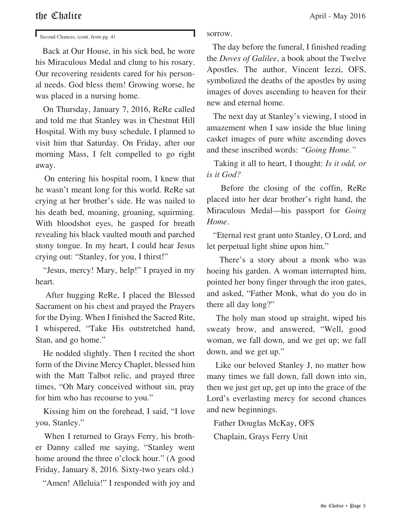Second Chances, (cont. from pg. 4)

 Back at Our House, in his sick bed, he wore his Miraculous Medal and clung to his rosary. Our recovering residents cared for his personal needs. God bless them! Growing worse, he was placed in a nursing home.

 On Thursday, January 7, 2016, ReRe called and told me that Stanley was in Chestnut Hill Hospital. With my busy schedule, I planned to visit him that Saturday. On Friday, after our morning Mass, I felt compelled to go right away.

 On entering his hospital room, I knew that he wasn't meant long for this world. ReRe sat crying at her brother's side. He was nailed to his death bed, moaning, groaning, squirming. With bloodshot eyes, he gasped for breath revealing his black vaulted mouth and parched stony tongue. In my heart, I could hear Jesus crying out: "Stanley, for you, I thirst!"

 "Jesus, mercy! Mary, help!" I prayed in my heart.

 After hugging ReRe, I placed the Blessed Sacrament on his chest and prayed the Prayers for the Dying. When I finished the Sacred Rite, I whispered, "Take His outstretched hand, Stan, and go home."

 He nodded slightly. Then I recited the short form of the Divine Mercy Chaplet, blessed him with the Matt Talbot relic, and prayed three times, "Oh Mary conceived without sin, pray for him who has recourse to you."

 Kissing him on the forehead, I said, "I love you, Stanley."

 When I returned to Grays Ferry, his brother Danny called me saying, "Stanley went home around the three o'clock hour." (A good Friday, January 8, 2016. Sixty-two years old.)

"Amen! Alleluia!" I responded with joy and

sorrow.

 The day before the funeral, I finished reading the *Doves of Galilee*, a book about the Twelve Apostles. The author, Vincent Iezzi, OFS, symbolized the deaths of the apostles by using images of doves ascending to heaven for their new and eternal home.

 The next day at Stanley's viewing, I stood in amazement when I saw inside the blue lining casket images of pure white ascending doves and these inscribed words: *"Going Home."*

 Taking it all to heart, I thought: *Is it odd, or is it God?*

 Before the closing of the coffin, ReRe placed into her dear brother's right hand, the Miraculous Medal—his passport for *Going Home*.

 "Eternal rest grant unto Stanley, O Lord, and let perpetual light shine upon him."

 There's a story about a monk who was hoeing his garden. A woman interrupted him, pointed her bony finger through the iron gates, and asked, "Father Monk, what do you do in there all day long?"

 The holy man stood up straight, wiped his sweaty brow, and answered, "Well, good woman, we fall down, and we get up; we fall down, and we get up."

 Like our beloved Stanley J, no matter how many times we fall down, fall down into sin, then we just get up, get up into the grace of the Lord's everlasting mercy for second chances and new beginnings.

 Father Douglas McKay, OFS Chaplain, Grays Ferry Unit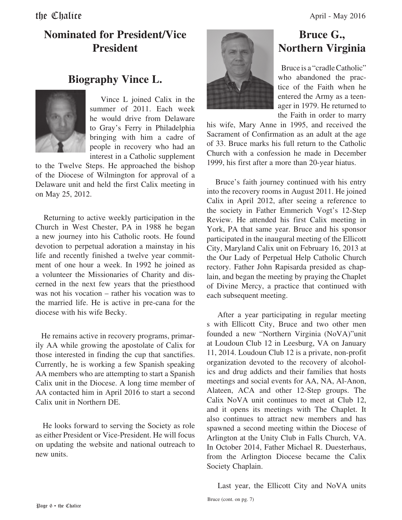### **Nominated for President/Vice President**

### **Biography Vince L.**



 Vince L joined Calix in the summer of 2011. Each week he would drive from Delaware to Gray's Ferry in Philadelphia bringing with him a cadre of people in recovery who had an interest in a Catholic supplement

to the Twelve Steps. He approached the bishop of the Diocese of Wilmington for approval of a Delaware unit and held the first Calix meeting in on May 25, 2012.

 Returning to active weekly participation in the Church in West Chester, PA in 1988 he began a new journey into his Catholic roots. He found devotion to perpetual adoration a mainstay in his life and recently finished a twelve year commitment of one hour a week. In 1992 he joined as a volunteer the Missionaries of Charity and discerned in the next few years that the priesthood was not his vocation – rather his vocation was to the married life. He is active in pre-cana for the diocese with his wife Becky.

 He remains active in recovery programs, primarily AA while growing the apostolate of Calix for those interested in finding the cup that sanctifies. Currently, he is working a few Spanish speaking AA members who are attempting to start a Spanish Calix unit in the Diocese. A long time member of AA contacted him in April 2016 to start a second Calix unit in Northern DE.

 He looks forward to serving the Society as role as either President or Vice-President. He will focus on updating the website and national outreach to new units.



### **Bruce G., Northern Virginia**

 Bruce is a "cradle Catholic" who abandoned the practice of the Faith when he entered the Army as a teenager in 1979. He returned to the Faith in order to marry

his wife, Mary Anne in 1995, and received the Sacrament of Confirmation as an adult at the age of 33. Bruce marks his full return to the Catholic Church with a confession he made in December 1999, his first after a more than 20-year hiatus.

 Bruce's faith journey continued with his entry into the recovery rooms in August 2011. He joined Calix in April 2012, after seeing a reference to the society in Father Emmerich Vogt's 12-Step Review. He attended his first Calix meeting in York, PA that same year. Bruce and his sponsor participated in the inaugural meeting of the Ellicott City, Maryland Calix unit on February 16, 2013 at the Our Lady of Perpetual Help Catholic Church rectory. Father John Rapisarda presided as chaplain, and began the meeting by praying the Chaplet of Divine Mercy, a practice that continued with each subsequent meeting.

 After a year participating in regular meeting s with Ellicott City, Bruce and two other men founded a new "Northern Virginia (NoVA)"unit at Loudoun Club 12 in Leesburg, VA on January 11, 2014. Loudoun Club 12 is a private, non-profit organization devoted to the recovery of alcoholics and drug addicts and their families that hosts meetings and social events for AA, NA, Al-Anon, Alateen, ACA and other 12-Step groups. The Calix NoVA unit continues to meet at Club 12, and it opens its meetings with The Chaplet. It also continues to attract new members and has spawned a second meeting within the Diocese of Arlington at the Unity Club in Falls Church, VA. In October 2014, Father Michael R. Duesterhaus, from the Arlington Diocese became the Calix Society Chaplain.

Last year, the Ellicott City and NoVA units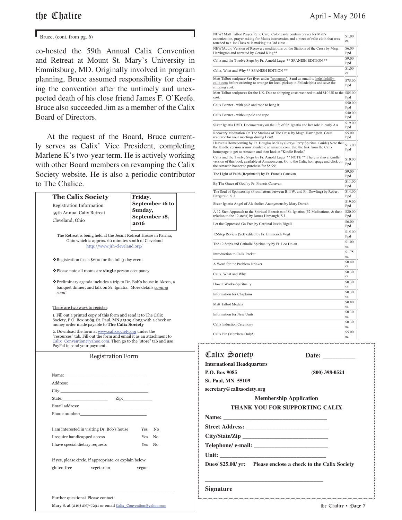Bruce, (cont. from pg.  $6$ )

co-hosted the 59th Annual Calix Convention and Retreat at Mount St. Mary's University in Emmitsburg, MD. Originally involved in program planning, Bruce assumed responsibility for chairing the convention after the untimely and unexpected death of his close friend James F. O'Keefe. Bruce also succeeded Jim as a member of the Calix Board of Directors.

 At the request of the Board, Bruce currently serves as Calix' Vice President, completing Marlene K's two-year term. He is actively working with other Board members on revamping the Calix Society website. He is also a periodic contributor to The Chalice.

| Registration Information<br>59th Annual Calix Retreat                                                                                                                                                                           | Friday,<br>Sunday, | September 16 to |
|---------------------------------------------------------------------------------------------------------------------------------------------------------------------------------------------------------------------------------|--------------------|-----------------|
| Cleveland, Ohio                                                                                                                                                                                                                 | 2016               | September 18,   |
| The Retreat is being held at the Jesuit Retreat House in Parma,<br>Ohio which is approx. 20 minutes south of Cleveland<br>http://www.jrh-cleveland.org/                                                                         |                    |                 |
| ❖ Registration fee is \$200 for the full 3-day event                                                                                                                                                                            |                    |                 |
| ❖ Please note all rooms are single person occupancy                                                                                                                                                                             |                    |                 |
| ❖ Preliminary agenda includes a trip to Dr. Bob's house in Akron, a<br>banquet dinner, and talk on Sr. Ignatia. More details coming<br>soon!                                                                                    |                    |                 |
| There are two ways to register:                                                                                                                                                                                                 |                    |                 |
| 1. Fill out a printed copy of this form and send it to The Calix<br>Society, P.O. Box 9085, St. Paul, MN 55109 along with a check or<br>money order made payable to The Calix Society                                           |                    |                 |
| 2. Download the form at www.calixsociety.org under the<br>"resources" tab. Fill out the form and email it as an attachment to<br>Calix_Convention@yahoo.com. Then go to the "store" tab and use<br>PayPal to send your payment. |                    |                 |
|                                                                                                                                                                                                                                 |                    |                 |
| <b>Registration Form</b>                                                                                                                                                                                                        |                    |                 |
|                                                                                                                                                                                                                                 |                    |                 |
| Name: the contract of the contract of the contract of the contract of the contract of the contract of the contract of the contract of the contract of the contract of the contract of the contract of the contract of the cont  |                    |                 |
| Address:<br>City:                                                                                                                                                                                                               |                    |                 |
| $\mathbf{Zip:}$<br>State:<br><b>Contract Contract Contract</b>                                                                                                                                                                  |                    |                 |
| Email address:                                                                                                                                                                                                                  |                    |                 |
| Phone number:                                                                                                                                                                                                                   |                    |                 |
| I am interested in visiting Dr. Bob's house                                                                                                                                                                                     | Yes                | No              |
| I require handicapped access                                                                                                                                                                                                    | Yes No             |                 |
| I have special dietary requests                                                                                                                                                                                                 | Yes No             |                 |
| If yes, please circle, if appropriate, or explain below:                                                                                                                                                                        |                    |                 |
| gluten-free<br>vegetarian                                                                                                                                                                                                       | vegan              |                 |
|                                                                                                                                                                                                                                 |                    |                 |

Mary S. at (216) 287-7291 or email Calix\_Convention@yahoo.com

Calix Society **Date: \_\_\_\_\_\_\_\_\_\_ International Headquarters P.O. Box 9085 (800) 398-0524 St. Paul, MN 55109** NEW! Matt Talbot Prayer/Relic Card. Color cards contain prayer for Matt's canonization, prayer asking for Matt's intercession and a piece of relic cloth that was ouched to a 1st Class relic making it a 3rd class. \$1.00 ea NEW!Audio Version of Recovery meditations on the Stations of the Cross by Msgr. Harrington and narrated by Gerard King\*\* \$6.00 Ppd Calix and the Twelve Steps by Fr. Arnold Luger \*\* SPANISH EDITION \*\*  $\frac{\$9.00}{\$od}$ Ppd  $Calix. What and Why ** SPANISH EDITION **  $$1.00$$ ea Matt Talbot sculpture See flyer under "resources". Send an email to help@phillycalix.com before ordering to arrange for local pickup in Philadelphia and save the shipping cost. \$75.00 Ppd Matt Talbot sculptures for the UK. Due to shipping costs we need to add \$10 US to the \$85.00 cost. Ppd Calix Banner - with pole and rope to hang it  $$50.00$ Ppd Calix Banner - without pole and rope  $$40.00$ Ppd Sister Ignatia DVD. Documentary on the life of Sr. Ignatia and her role in early AA \$19.00 Ppd Recovery Meditation On The Stations of The Cross by Msgr. Harrington. Great resource for your meetings during Lent! \$5.00 Ppd Heaven's Homecoming by Fr. Douglas McKay (Grays Ferry Spiritual Guide) Note that the Kindle version is now available at amazon.com. Use the link from the Calix homepage to get to Amazon and then look at "Kindle Books" \$13.00 Ppd Calix and the Twelve Steps by Fr. Arnold Luger \*\* NOTE \*\* There is also a Kindle version of this book available at Amazon.com. Go to the Calix homepage and click on the Amazon banner to purchase for \$5.99! \$10.00 Ppd The Light of Faith (Reprinted!) by Fr. Francis Canavan \$9.00 p<sub>pd</sub> Ppd By The Grace of God by Fr. Francis Canavan \$11.00 Ppd The Soul of Sponsorship (From letters between Bill W. and Fr. Dowling) by Robert Fitzgerald, S.J. \$14.00 Ppd Sister Ignatia Angel of Alcoholics Anonymous by Mary Darrah \$19.00 Ppd A 12-Step Approach to the Spiritual Exercises of St. Ignatius (52 Meditations, & their relation to the 12 steps) by James Harbaugh, S.J. \$20.00 Ppd Let the Oppressed Go Free by Cardinal Justin Rigali \$6.00 Ppd 12-Step Review (Set) edited by Fr. Emmerich Vogt Ppd The 12 Steps and Catholic Spirituality by Fr. Leo Dolan ea. Introduction to Calix Packet  $\boxed{\$1.75}$ ea. A Word for the Problem Drinker  $\frac{1}{20}$  S0.40 ea Calix. What and Why  $\boxed{\$0.30}$ ea How it Works-Spiritually  $\frac{$0.30}{90}$ ea Information for Chaplains  $\qquad$  \$0.30 ea Matt Talbot Medals \$0.80 ea Information for New Units  $\frac{1}{20}$ ea Calix Induction Ceremony  $\frac{1}{2}$  S0.30 ea Calix Pin (Members Only!) \$5.00 ea

|                        | secretary@calixsociety.org            |
|------------------------|---------------------------------------|
|                        | <b>Membership Application</b>         |
|                        | <b>THANK YOU FOR SUPPORTING CALIX</b> |
| <b>Name:</b>           |                                       |
| <b>Street Address:</b> |                                       |

| City/State/Zip     |  |
|--------------------|--|
| Telephone/ e-mail: |  |

**Unit: \_\_\_\_\_\_\_\_\_\_\_\_\_\_\_\_\_\_\_\_\_\_\_\_\_\_\_\_\_\_\_\_\_\_\_\_**

**\_\_\_\_\_\_\_\_\_\_\_\_\_\_\_\_\_\_\_\_\_\_\_\_\_\_\_\_\_\_\_\_\_\_\_\_** 

**Dues/ \$25.00/ yr: Please enclose a check to the Calix Society**

### **Signature**